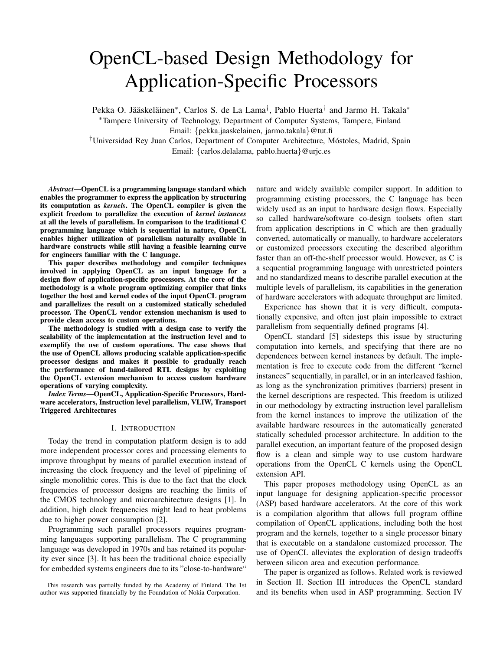# OpenCL-based Design Methodology for Application-Specific Processors

Pekka O. Jääskeläinen\*, Carlos S. de La Lama<sup>†</sup>, Pablo Huerta<sup>†</sup> and Jarmo H. Takala<sup>∗</sup>

*<sup>∗</sup>*Tampere University of Technology, Department of Computer Systems, Tampere, Finland Email: *{*pekka.jaaskelainen, jarmo.takala*}*@tut.fi

*†*Universidad Rey Juan Carlos, Department of Computer Architecture, Mostoles, Madrid, Spain ´ Email: *{*carlos.delalama, pablo.huerta*}*@urjc.es

*Abstract*—OpenCL is a programming language standard which enables the programmer to express the application by structuring its computation as *kernels*. The OpenCL compiler is given the explicit freedom to parallelize the execution of *kernel instances* at all the levels of parallelism. In comparison to the traditional C programming language which is sequential in nature, OpenCL enables higher utilization of parallelism naturally available in hardware constructs while still having a feasible learning curve for engineers familiar with the C language.

This paper describes methodology and compiler techniques involved in applying OpenCL as an input language for a design flow of application-specific processors. At the core of the methodology is a whole program optimizing compiler that links together the host and kernel codes of the input OpenCL program and parallelizes the result on a customized statically scheduled processor. The OpenCL vendor extension mechanism is used to provide clean access to custom operations.

The methodology is studied with a design case to verify the scalability of the implementation at the instruction level and to exemplify the use of custom operations. The case shows that the use of OpenCL allows producing scalable application-specific processor designs and makes it possible to gradually reach the performance of hand-tailored RTL designs by exploiting the OpenCL extension mechanism to access custom hardware operations of varying complexity.

*Index Terms*—OpenCL, Application-Specific Processors, Hardware accelerators, Instruction level parallelism, VLIW, Transport Triggered Architectures

## I. INTRODUCTION

Today the trend in computation platform design is to add more independent processor cores and processing elements to improve throughput by means of parallel execution instead of increasing the clock frequency and the level of pipelining of single monolithic cores. This is due to the fact that the clock frequencies of processor designs are reaching the limits of the CMOS technology and microarchitecture designs [1]. In addition, high clock frequencies might lead to heat problems due to higher power consumption [2].

Programming such parallel processors requires programming languages supporting parallelism. The C programming language was developed in 1970s and has retained its popularity ever since [3]. It has been the traditional choice especially for embedded systems engineers due to its "close-to-hardware"

This research was partially funded by the Academy of Finland. The 1st author was supported financially by the Foundation of Nokia Corporation.

nature and widely available compiler support. In addition to programming existing processors, the C language has been widely used as an input to hardware design flows. Especially so called hardware/software co-design toolsets often start from application descriptions in C which are then gradually converted, automatically or manually, to hardware accelerators or customized processors executing the described algorithm faster than an off-the-shelf processor would. However, as C is a sequential programming language with unrestricted pointers and no standardized means to describe parallel execution at the multiple levels of parallelism, its capabilities in the generation of hardware accelerators with adequate throughput are limited.

Experience has shown that it is very difficult, computationally expensive, and often just plain impossible to extract parallelism from sequentially defined programs [4].

OpenCL standard [5] sidesteps this issue by structuring computation into kernels, and specifying that there are no dependences between kernel instances by default. The implementation is free to execute code from the different "kernel instances" sequentially, in parallel, or in an interleaved fashion, as long as the synchronization primitives (barriers) present in the kernel descriptions are respected. This freedom is utilized in our methodology by extracting instruction level parallelism from the kernel instances to improve the utilization of the available hardware resources in the automatically generated statically scheduled processor architecture. In addition to the parallel execution, an important feature of the proposed design flow is a clean and simple way to use custom hardware operations from the OpenCL C kernels using the OpenCL extension API.

This paper proposes methodology using OpenCL as an input language for designing application-specific processor (ASP) based hardware accelerators. At the core of this work is a compilation algorithm that allows full program offline compilation of OpenCL applications, including both the host program and the kernels, together to a single processor binary that is executable on a standalone customized processor. The use of OpenCL alleviates the exploration of design tradeoffs between silicon area and execution performance.

The paper is organized as follows. Related work is reviewed in Section II. Section III introduces the OpenCL standard and its benefits when used in ASP programming. Section IV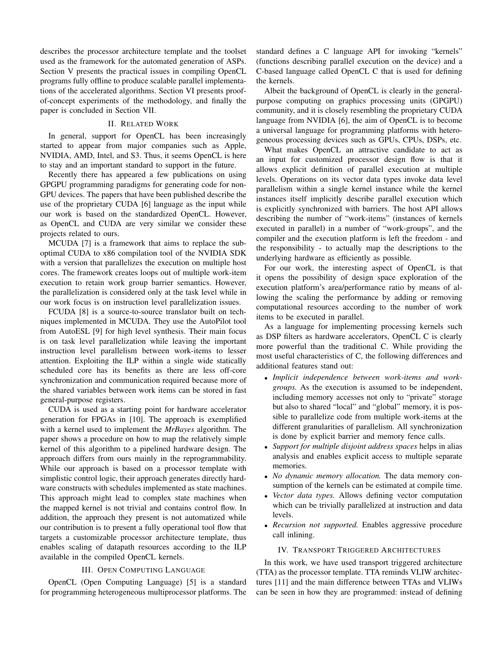describes the processor architecture template and the toolset used as the framework for the automated generation of ASPs. Section V presents the practical issues in compiling OpenCL programs fully offline to produce scalable parallel implementations of the accelerated algorithms. Section VI presents proofof-concept experiments of the methodology, and finally the paper is concluded in Section VII.

# II. RELATED WORK

In general, support for OpenCL has been increasingly started to appear from major companies such as Apple, NVIDIA, AMD, Intel, and S3. Thus, it seems OpenCL is here to stay and an important standard to support in the future.

Recently there has appeared a few publications on using GPGPU programming paradigms for generating code for non-GPU devices. The papers that have been published describe the use of the proprietary CUDA [6] language as the input while our work is based on the standardized OpenCL. However, as OpenCL and CUDA are very similar we consider these projects related to ours.

MCUDA [7] is a framework that aims to replace the suboptimal CUDA to x86 compilation tool of the NVIDIA SDK with a version that parallelizes the execution on multiple host cores. The framework creates loops out of multiple work-item execution to retain work group barrier semantics. However, the parallelization is considered only at the task level while in our work focus is on instruction level parallelization issues.

FCUDA [8] is a source-to-source translator built on techniques implemented in MCUDA. They use the AutoPilot tool from AutoESL [9] for high level synthesis. Their main focus is on task level parallelization while leaving the important instruction level parallelism between work-items to lesser attention. Exploiting the ILP within a single wide statically scheduled core has its benefits as there are less off-core synchronization and communication required because more of the shared variables between work items can be stored in fast general-purpose registers.

CUDA is used as a starting point for hardware accelerator generation for FPGAs in [10]. The approach is exemplified with a kernel used to implement the *MrBayes* algorithm. The paper shows a procedure on how to map the relatively simple kernel of this algorithm to a pipelined hardware design. The approach differs from ours mainly in the reprogrammability. While our approach is based on a processor template with simplistic control logic, their approach generates directly hardware constructs with schedules implemented as state machines. This approach might lead to complex state machines when the mapped kernel is not trivial and contains control flow. In addition, the approach they present is not automatized while our contribution is to present a fully operational tool flow that targets a customizable processor architecture template, thus enables scaling of datapath resources according to the ILP available in the compiled OpenCL kernels.

# III. OPEN COMPUTING LANGUAGE

OpenCL (Open Computing Language) [5] is a standard for programming heterogeneous multiprocessor platforms. The standard defines a C language API for invoking "kernels" (functions describing parallel execution on the device) and a C-based language called OpenCL C that is used for defining the kernels.

Albeit the background of OpenCL is clearly in the generalpurpose computing on graphics processing units (GPGPU) community, and it is closely resembling the proprietary CUDA language from NVIDIA [6], the aim of OpenCL is to become a universal language for programming platforms with heterogeneous processing devices such as GPUs, CPUs, DSPs, etc.

What makes OpenCL an attractive candidate to act as an input for customized processor design flow is that it allows explicit definition of parallel execution at multiple levels. Operations on its vector data types invoke data level parallelism within a single kernel instance while the kernel instances itself implicitly describe parallel execution which is explicitly synchronized with barriers. The host API allows describing the number of "work-items" (instances of kernels executed in parallel) in a number of "work-groups", and the compiler and the execution platform is left the freedom - and the responsibility - to actually map the descriptions to the underlying hardware as efficiently as possible.

For our work, the interesting aspect of OpenCL is that it opens the possibility of design space exploration of the execution platform's area/performance ratio by means of allowing the scaling the performance by adding or removing computational resources according to the number of work items to be executed in parallel.

As a language for implementing processing kernels such as DSP filters as hardware accelerators, OpenCL C is clearly more powerful than the traditional C. While providing the most useful characteristics of C, the following differences and additional features stand out:

- *• Implicit independence between work-items and workgroups.* As the execution is assumed to be independent, including memory accesses not only to "private" storage but also to shared "local" and "global" memory, it is possible to parallelize code from multiple work-items at the different granularities of parallelism. All synchronization is done by explicit barrier and memory fence calls.
- *• Support for multiple disjoint address spaces* helps in alias analysis and enables explicit access to multiple separate memories.
- *• No dynamic memory allocation.* The data memory consumption of the kernels can be estimated at compile time.
- *• Vector data types.* Allows defining vector computation which can be trivially parallelized at instruction and data levels.
- *• Recursion not supported.* Enables aggressive procedure call inlining.

## IV. TRANSPORT TRIGGERED ARCHITECTURES

In this work, we have used transport triggered architecture (TTA) as the processor template. TTA reminds VLIW architectures [11] and the main difference between TTAs and VLIWs can be seen in how they are programmed: instead of defining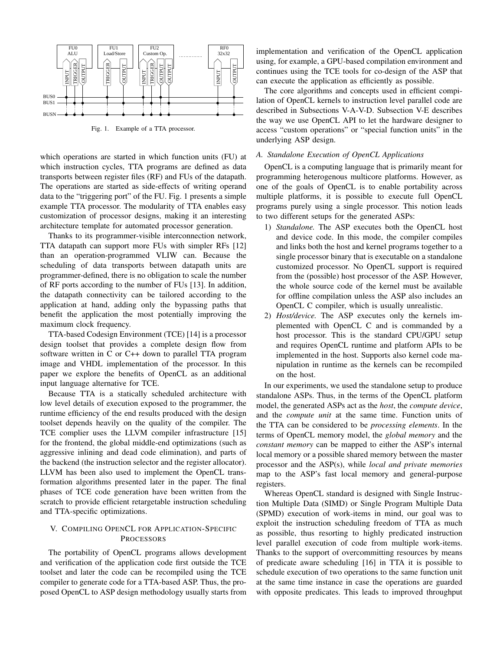

Fig. 1. Example of a TTA processor.

which operations are started in which function units (FU) at which instruction cycles, TTA programs are defined as data transports between register files (RF) and FUs of the datapath. The operations are started as side-effects of writing operand data to the "triggering port" of the FU. Fig. 1 presents a simple example TTA processor. The modularity of TTA enables easy customization of processor designs, making it an interesting architecture template for automated processor generation.

Thanks to its programmer-visible interconnection network, TTA datapath can support more FUs with simpler RFs [12] than an operation-programmed VLIW can. Because the scheduling of data transports between datapath units are programmer-defined, there is no obligation to scale the number of RF ports according to the number of FUs [13]. In addition, the datapath connectivity can be tailored according to the application at hand, adding only the bypassing paths that benefit the application the most potentially improving the maximum clock frequency.

TTA-based Codesign Environment (TCE) [14] is a processor design toolset that provides a complete design flow from software written in C or C++ down to parallel TTA program image and VHDL implementation of the processor. In this paper we explore the benefits of OpenCL as an additional input language alternative for TCE.

Because TTA is a statically scheduled architecture with low level details of execution exposed to the programmer, the runtime efficiency of the end results produced with the design toolset depends heavily on the quality of the compiler. The TCE complier uses the LLVM compiler infrastructure [15] for the frontend, the global middle-end optimizations (such as aggressive inlining and dead code elimination), and parts of the backend (the instruction selector and the register allocator). LLVM has been also used to implement the OpenCL transformation algorithms presented later in the paper. The final phases of TCE code generation have been written from the scratch to provide efficient retargetable instruction scheduling and TTA-specific optimizations.

# V. COMPILING OPENCL FOR APPLICATION-SPECIFIC **PROCESSORS**

The portability of OpenCL programs allows development and verification of the application code first outside the TCE toolset and later the code can be recompiled using the TCE compiler to generate code for a TTA-based ASP. Thus, the proposed OpenCL to ASP design methodology usually starts from implementation and verification of the OpenCL application using, for example, a GPU-based compilation environment and continues using the TCE tools for co-design of the ASP that can execute the application as efficiently as possible.

The core algorithms and concepts used in efficient compilation of OpenCL kernels to instruction level parallel code are described in Subsections V-A-V-D. Subsection V-E describes the way we use OpenCL API to let the hardware designer to access "custom operations" or "special function units" in the underlying ASP design.

# *A. Standalone Execution of OpenCL Applications*

OpenCL is a computing language that is primarily meant for programming heterogenous multicore platforms. However, as one of the goals of OpenCL is to enable portability across multiple platforms, it is possible to execute full OpenCL programs purely using a single processor. This notion leads to two different setups for the generated ASPs:

- 1) *Standalone.* The ASP executes both the OpenCL host and device code. In this mode, the compiler compiles and links both the host and kernel programs together to a single processor binary that is executable on a standalone customized processor. No OpenCL support is required from the (possible) host processor of the ASP. However, the whole source code of the kernel must be available for offline compilation unless the ASP also includes an OpenCL C compiler, which is usually unrealistic.
- 2) *Host/device.* The ASP executes only the kernels implemented with OpenCL C and is commanded by a host processor. This is the standard CPU/GPU setup and requires OpenCL runtime and platform APIs to be implemented in the host. Supports also kernel code manipulation in runtime as the kernels can be recompiled on the host.

In our experiments, we used the standalone setup to produce standalone ASPs. Thus, in the terms of the OpenCL platform model, the generated ASPs act as the *host*, the *compute device*, and the *compute unit* at the same time. Function units of the TTA can be considered to be *processing elements*. In the terms of OpenCL memory model, the *global memory* and the *constant memory* can be mapped to either the ASP's internal local memory or a possible shared memory between the master processor and the ASP(s), while *local and private memories* map to the ASP's fast local memory and general-purpose registers.

Whereas OpenCL standard is designed with Single Instruction Multiple Data (SIMD) or Single Program Multiple Data (SPMD) execution of work-items in mind, our goal was to exploit the instruction scheduling freedom of TTA as much as possible, thus resorting to highly predicated instruction level parallel execution of code from multiple work-items. Thanks to the support of overcommitting resources by means of predicate aware scheduling [16] in TTA it is possible to schedule execution of two operations to the same function unit at the same time instance in case the operations are guarded with opposite predicates. This leads to improved throughput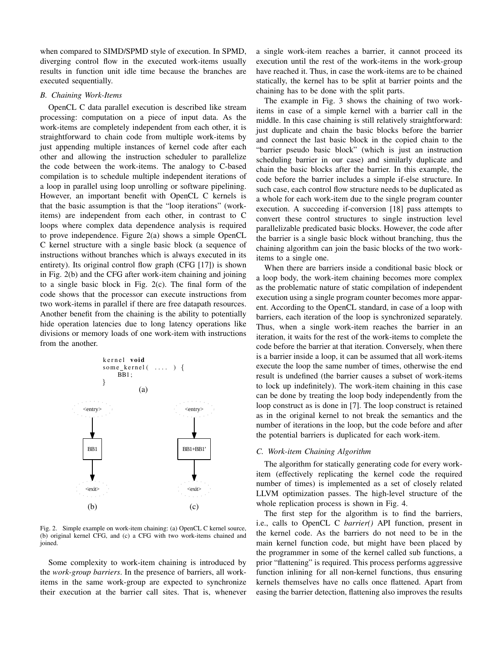when compared to SIMD/SPMD style of execution. In SPMD, diverging control flow in the executed work-items usually results in function unit idle time because the branches are executed sequentially.

# *B. Chaining Work-Items*

OpenCL C data parallel execution is described like stream processing: computation on a piece of input data. As the work-items are completely independent from each other, it is straightforward to chain code from multiple work-items by just appending multiple instances of kernel code after each other and allowing the instruction scheduler to parallelize the code between the work-items. The analogy to C-based compilation is to schedule multiple independent iterations of a loop in parallel using loop unrolling or software pipelining. However, an important benefit with OpenCL C kernels is that the basic assumption is that the "loop iterations" (workitems) are independent from each other, in contrast to C loops where complex data dependence analysis is required to prove independence. Figure 2(a) shows a simple OpenCL C kernel structure with a single basic block (a sequence of instructions without branches which is always executed in its entirety). Its original control flow graph (CFG [17]) is shown in Fig. 2(b) and the CFG after work-item chaining and joining to a single basic block in Fig. 2(c). The final form of the code shows that the processor can execute instructions from two work-items in parallel if there are free datapath resources. Another benefit from the chaining is the ability to potentially hide operation latencies due to long latency operations like divisions or memory loads of one work-item with instructions from the another.



Fig. 2. Simple example on work-item chaining: (a) OpenCL C kernel source, (b) original kernel CFG, and (c) a CFG with two work-items chained and ioined.

Some complexity to work-item chaining is introduced by the *work-group barriers*. In the presence of barriers, all workitems in the same work-group are expected to synchronize their execution at the barrier call sites. That is, whenever a single work-item reaches a barrier, it cannot proceed its execution until the rest of the work-items in the work-group have reached it. Thus, in case the work-items are to be chained statically, the kernel has to be split at barrier points and the chaining has to be done with the split parts.

The example in Fig. 3 shows the chaining of two workitems in case of a simple kernel with a barrier call in the middle. In this case chaining is still relatively straightforward: just duplicate and chain the basic blocks before the barrier and connect the last basic block in the copied chain to the "barrier pseudo basic block" (which is just an instruction scheduling barrier in our case) and similarly duplicate and chain the basic blocks after the barrier. In this example, the code before the barrier includes a simple if-else structure. In such case, each control flow structure needs to be duplicated as a whole for each work-item due to the single program counter execution. A succeeding if-conversion [18] pass attempts to convert these control structures to single instruction level parallelizable predicated basic blocks. However, the code after the barrier is a single basic block without branching, thus the chaining algorithm can join the basic blocks of the two workitems to a single one.

When there are barriers inside a conditional basic block or a loop body, the work-item chaining becomes more complex as the problematic nature of static compilation of independent execution using a single program counter becomes more apparent. According to the OpenCL standard, in case of a loop with barriers, each iteration of the loop is synchronized separately. Thus, when a single work-item reaches the barrier in an iteration, it waits for the rest of the work-items to complete the code before the barrier at that iteration. Conversely, when there is a barrier inside a loop, it can be assumed that all work-items execute the loop the same number of times, otherwise the end result is undefined (the barrier causes a subset of work-items to lock up indefinitely). The work-item chaining in this case can be done by treating the loop body independently from the loop construct as is done in [7]. The loop construct is retained as in the original kernel to not break the semantics and the number of iterations in the loop, but the code before and after the potential barriers is duplicated for each work-item.

## *C. Work-item Chaining Algorithm*

The algorithm for statically generating code for every workitem (effectively replicating the kernel code the required number of times) is implemented as a set of closely related LLVM optimization passes. The high-level structure of the whole replication process is shown in Fig. 4.

The first step for the algorithm is to find the barriers, i.e., calls to OpenCL C *barrier()* API function, present in the kernel code. As the barriers do not need to be in the main kernel function code, but might have been placed by the programmer in some of the kernel called sub functions, a prior "flattening" is required. This process performs aggressive function inlining for all non-kernel functions, thus ensuring kernels themselves have no calls once flattened. Apart from easing the barrier detection, flattening also improves the results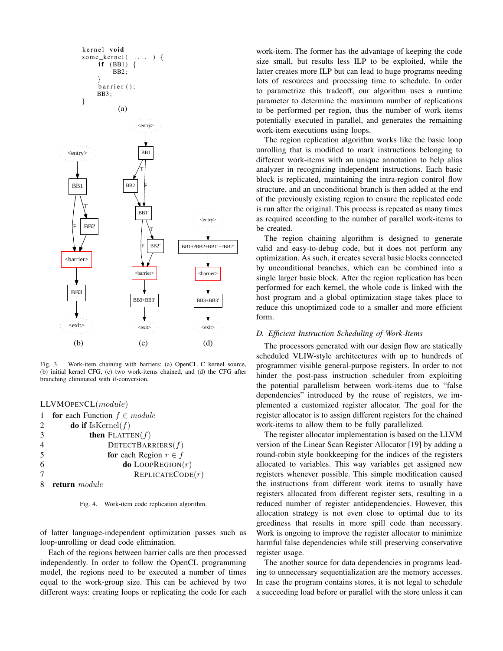

Fig. 3. Work-item chaining with barriers: (a) OpenCL C kernel source, (b) initial kernel CFG, (c) two work-items chained, and (d) the CFG after branching eliminated with if-conversion.

LLVMOPENCL(*module*)

|                             | <b>for</b> each Function $f \in module$ |
|-----------------------------|-----------------------------------------|
| $\mathcal{D}_{\mathcal{L}}$ | <b>do if</b> IsKernel( $f$ )            |
| 3                           | <b>then</b> $FLATTEN(f)$                |
| $\overline{4}$              | DETECTBARRIERS $(f)$                    |
| 5                           | for each Region $r \in f$               |
| 6                           | do $LoopRegion(r)$                      |
|                             | REPLICATECODE(r)                        |
|                             | <b>return</b> module                    |

Fig. 4. Work-item code replication algorithm.

of latter language-independent optimization passes such as loop-unrolling or dead code elimination.

Each of the regions between barrier calls are then processed independently. In order to follow the OpenCL programming model, the regions need to be executed a number of times equal to the work-group size. This can be achieved by two different ways: creating loops or replicating the code for each

work-item. The former has the advantage of keeping the code size small, but results less ILP to be exploited, while the latter creates more ILP but can lead to huge programs needing lots of resources and processing time to schedule. In order to parametrize this tradeoff, our algorithm uses a runtime parameter to determine the maximum number of replications to be performed per region, thus the number of work items potentially executed in parallel, and generates the remaining work-item executions using loops.

The region replication algorithm works like the basic loop unrolling that is modified to mark instructions belonging to different work-items with an unique annotation to help alias analyzer in recognizing independent instructions. Each basic block is replicated, maintaining the intra-region control flow structure, and an unconditional branch is then added at the end of the previously existing region to ensure the replicated code is run after the original. This process is repeated as many times as required according to the number of parallel work-items to be created.

The region chaining algorithm is designed to generate valid and easy-to-debug code, but it does not perform any optimization. As such, it creates several basic blocks connected by unconditional branches, which can be combined into a single larger basic block. After the region replication has been performed for each kernel, the whole code is linked with the host program and a global optimization stage takes place to reduce this unoptimized code to a smaller and more efficient form.

#### *D. Efficient Instruction Scheduling of Work-Items*

The processors generated with our design flow are statically scheduled VLIW-style architectures with up to hundreds of programmer visible general-purpose registers. In order to not hinder the post-pass instruction scheduler from exploiting the potential parallelism between work-items due to "false dependencies" introduced by the reuse of registers, we implemented a customized register allocator. The goal for the register allocator is to assign different registers for the chained work-items to allow them to be fully parallelized.

The register allocator implementation is based on the LLVM version of the Linear Scan Register Allocator [19] by adding a round-robin style bookkeeping for the indices of the registers allocated to variables. This way variables get assigned new registers whenever possible. This simple modification caused the instructions from different work items to usually have registers allocated from different register sets, resulting in a reduced number of register antidependencies. However, this allocation strategy is not even close to optimal due to its greediness that results in more spill code than necessary. Work is ongoing to improve the register allocator to minimize harmful false dependencies while still preserving conservative register usage.

The another source for data dependencies in programs leading to unnecessary sequentialization are the memory accesses. In case the program contains stores, it is not legal to schedule a succeeding load before or parallel with the store unless it can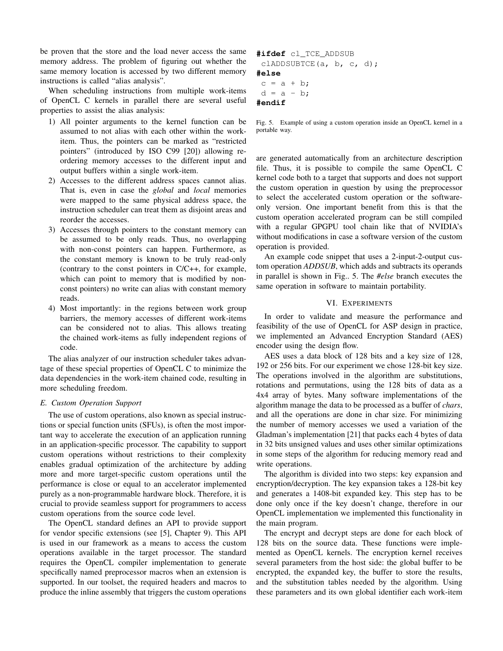be proven that the store and the load never access the same memory address. The problem of figuring out whether the same memory location is accessed by two different memory instructions is called "alias analysis".

When scheduling instructions from multiple work-items of OpenCL C kernels in parallel there are several useful properties to assist the alias analysis:

- 1) All pointer arguments to the kernel function can be assumed to not alias with each other within the workitem. Thus, the pointers can be marked as "restricted pointers" (introduced by ISO C99 [20]) allowing reordering memory accesses to the different input and output buffers within a single work-item.
- 2) Accesses to the different address spaces cannot alias. That is, even in case the *global* and *local* memories were mapped to the same physical address space, the instruction scheduler can treat them as disjoint areas and reorder the accesses.
- 3) Accesses through pointers to the constant memory can be assumed to be only reads. Thus, no overlapping with non-const pointers can happen. Furthermore, as the constant memory is known to be truly read-only (contrary to the const pointers in C/C++, for example, which can point to memory that is modified by nonconst pointers) no write can alias with constant memory reads.
- 4) Most importantly: in the regions between work group barriers, the memory accesses of different work-items can be considered not to alias. This allows treating the chained work-items as fully independent regions of code.

The alias analyzer of our instruction scheduler takes advantage of these special properties of OpenCL C to minimize the data dependencies in the work-item chained code, resulting in more scheduling freedom.

## *E. Custom Operation Support*

The use of custom operations, also known as special instructions or special function units (SFUs), is often the most important way to accelerate the execution of an application running in an application-specific processor. The capability to support custom operations without restrictions to their complexity enables gradual optimization of the architecture by adding more and more target-specific custom operations until the performance is close or equal to an accelerator implemented purely as a non-programmable hardware block. Therefore, it is crucial to provide seamless support for programmers to access custom operations from the source code level.

The OpenCL standard defines an API to provide support for vendor specific extensions (see [5], Chapter 9). This API is used in our framework as a means to access the custom operations available in the target processor. The standard requires the OpenCL compiler implementation to generate specifically named preprocessor macros when an extension is supported. In our toolset, the required headers and macros to produce the inline assembly that triggers the custom operations

```
#ifdef cl_TCE_ADDSUB
clADDSUBTCE(a, b, c, d);
#else
c = a + b;d = a - b;#endif
```
Fig. 5. Example of using a custom operation inside an OpenCL kernel in a portable way.

are generated automatically from an architecture description file. Thus, it is possible to compile the same OpenCL C kernel code both to a target that supports and does not support the custom operation in question by using the preprocessor to select the accelerated custom operation or the softwareonly version. One important benefit from this is that the custom operation accelerated program can be still compiled with a regular GPGPU tool chain like that of NVIDIA's without modifications in case a software version of the custom operation is provided.

An example code snippet that uses a 2-input-2-output custom operation *ADDSUB*, which adds and subtracts its operands in parallel is shown in Fig.. 5. The *#else* branch executes the same operation in software to maintain portability.

## VI. EXPERIMENTS

In order to validate and measure the performance and feasibility of the use of OpenCL for ASP design in practice, we implemented an Advanced Encryption Standard (AES) encoder using the design flow.

AES uses a data block of 128 bits and a key size of 128, 192 or 256 bits. For our experiment we chose 128-bit key size. The operations involved in the algorithm are substitutions, rotations and permutations, using the 128 bits of data as a 4x4 array of bytes. Many software implementations of the algorithm manage the data to be processed as a buffer of *chars*, and all the operations are done in char size. For minimizing the number of memory accesses we used a variation of the Gladman's implementation [21] that packs each 4 bytes of data in 32 bits unsigned values and uses other similar optimizations in some steps of the algorithm for reducing memory read and write operations.

The algorithm is divided into two steps: key expansion and encryption/decryption. The key expansion takes a 128-bit key and generates a 1408-bit expanded key. This step has to be done only once if the key doesn't change, therefore in our OpenCL implementation we implemented this functionality in the main program.

The encrypt and decrypt steps are done for each block of 128 bits on the source data. These functions were implemented as OpenCL kernels. The encryption kernel receives several parameters from the host side: the global buffer to be encrypted, the expanded key, the buffer to store the results, and the substitution tables needed by the algorithm. Using these parameters and its own global identifier each work-item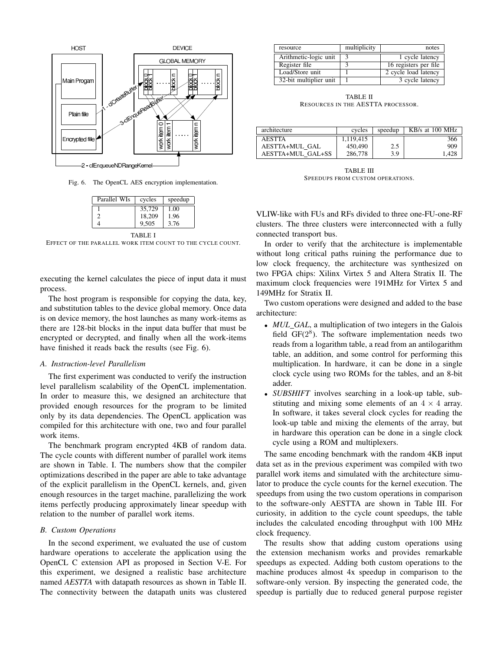

Fig. 6. The OpenCL AES encryption implementation.

| Parallel WIs | cycles | speedup |
|--------------|--------|---------|
|              | 35,729 | 1.00    |
|              | 18,209 | 1.96    |
|              | 9,505  | 3.76    |

TABLE I EFFECT OF THE PARALLEL WORK ITEM COUNT TO THE CYCLE COUNT.

executing the kernel calculates the piece of input data it must process.

The host program is responsible for copying the data, key, and substitution tables to the device global memory. Once data is on device memory, the host launches as many work-items as there are 128-bit blocks in the input data buffer that must be encrypted or decrypted, and finally when all the work-items have finished it reads back the results (see Fig. 6).

#### *A. Instruction-level Parallelism*

The first experiment was conducted to verify the instruction level parallelism scalability of the OpenCL implementation. In order to measure this, we designed an architecture that provided enough resources for the program to be limited only by its data dependencies. The OpenCL application was compiled for this architecture with one, two and four parallel work items.

The benchmark program encrypted 4KB of random data. The cycle counts with different number of parallel work items are shown in Table. I. The numbers show that the compiler optimizations described in the paper are able to take advantage of the explicit parallelism in the OpenCL kernels, and, given enough resources in the target machine, parallelizing the work items perfectly producing approximately linear speedup with relation to the number of parallel work items.

## *B. Custom Operations*

In the second experiment, we evaluated the use of custom hardware operations to accelerate the application using the OpenCL C extension API as proposed in Section V-E. For this experiment, we designed a realistic base architecture named *AESTTA* with datapath resources as shown in Table II. The connectivity between the datapath units was clustered

| resource               | multiplicity | notes                 |  |
|------------------------|--------------|-----------------------|--|
| Arithmetic-logic unit  |              | 1 cycle latency       |  |
| Register file          |              | 16 registers per file |  |
| Load/Store unit        |              | 2 cycle load latency  |  |
| 32-bit multiplier unit |              | 3 cycle latency       |  |

TABLE II RESOURCES IN THE AESTTA PROCESSOR.

| architecture      | cycles    | speedup | KB/s at 100 MHz |
|-------------------|-----------|---------|-----------------|
| <b>AESTTA</b>     | 1.119.415 |         | 366             |
| AESTTA+MUL GAL    | 450,490   | 2.5     | 909             |
| AESTTA+MUL GAL+SS | 286,778   | 3.9     | 1.428           |

TABLE III SPEEDUPS FROM CUSTOM OPERATIONS.

VLIW-like with FUs and RFs divided to three one-FU-one-RF clusters. The three clusters were interconnected with a fully connected transport bus.

In order to verify that the architecture is implementable without long critical paths ruining the performance due to low clock frequency, the architecture was synthesized on two FPGA chips: Xilinx Virtex 5 and Altera Stratix II. The maximum clock frequencies were 191MHz for Virtex 5 and 149MHz for Stratix II.

Two custom operations were designed and added to the base architecture:

- *MUL\_GAL*, a multiplication of two integers in the Galois field  $GF(2^8)$ . The software implementation needs two reads from a logarithm table, a read from an antilogarithm table, an addition, and some control for performing this multiplication. In hardware, it can be done in a single clock cycle using two ROMs for the tables, and an 8-bit adder.
- *• SUBSHIFT* involves searching in a look-up table, substituting and mixing some elements of an  $4 \times 4$  array. In software, it takes several clock cycles for reading the look-up table and mixing the elements of the array, but in hardware this operation can be done in a single clock cycle using a ROM and multiplexers.

The same encoding benchmark with the random 4KB input data set as in the previous experiment was compiled with two parallel work items and simulated with the architecture simulator to produce the cycle counts for the kernel execution. The speedups from using the two custom operations in comparison to the software-only AESTTA are shown in Table III. For curiosity, in addition to the cycle count speedups, the table includes the calculated encoding throughput with 100 MHz clock frequency.

The results show that adding custom operations using the extension mechanism works and provides remarkable speedups as expected. Adding both custom operations to the machine produces almost 4x speedup in comparison to the software-only version. By inspecting the generated code, the speedup is partially due to reduced general purpose register